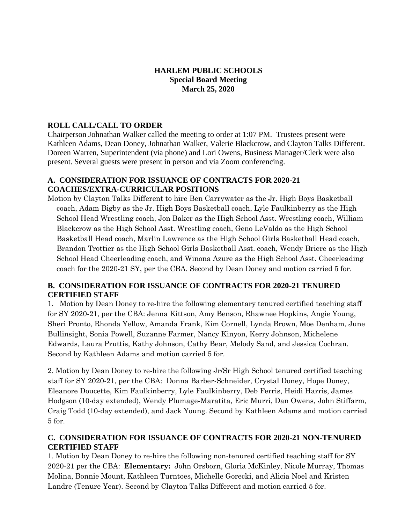### **HARLEM PUBLIC SCHOOLS Special Board Meeting March 25, 2020**

# **ROLL CALL/CALL TO ORDER**

Chairperson Johnathan Walker called the meeting to order at 1:07 PM. Trustees present were Kathleen Adams, Dean Doney, Johnathan Walker, Valerie Blackcrow, and Clayton Talks Different. Doreen Warren, Superintendent (via phone) and Lori Owens, Business Manager/Clerk were also present. Several guests were present in person and via Zoom conferencing.

#### **A. CONSIDERATION FOR ISSUANCE OF CONTRACTS FOR 2020-21 COACHES/EXTRA-CURRICULAR POSITIONS**

Motion by Clayton Talks Different to hire Ben Carrywater as the Jr. High Boys Basketball coach, Adam Bigby as the Jr. High Boys Basketball coach, Lyle Faulkinberry as the High School Head Wrestling coach, Jon Baker as the High School Asst. Wrestling coach, William Blackcrow as the High School Asst. Wrestling coach, Geno LeValdo as the High School Basketball Head coach, Marlin Lawrence as the High School Girls Basketball Head coach, Brandon Trottier as the High School Girls Basketball Asst. coach, Wendy Briere as the High School Head Cheerleading coach, and Winona Azure as the High School Asst. Cheerleading coach for the 2020-21 SY, per the CBA. Second by Dean Doney and motion carried 5 for.

# **B. CONSIDERATION FOR ISSUANCE OF CONTRACTS FOR 2020-21 TENURED CERTIFIED STAFF**

1. Motion by Dean Doney to re-hire the following elementary tenured certified teaching staff for SY 2020-21, per the CBA: Jenna Kittson, Amy Benson, Rhawnee Hopkins, Angie Young, Sheri Pronto, Rhonda Yellow, Amanda Frank, Kim Cornell, Lynda Brown, Moe Denham, June Bullinsight, Sonia Powell, Suzanne Farmer, Nancy Kinyon, Kerry Johnson, Michelene Edwards, Laura Pruttis, Kathy Johnson, Cathy Bear, Melody Sand, and Jessica Cochran. Second by Kathleen Adams and motion carried 5 for.

2. Motion by Dean Doney to re-hire the following Jr/Sr High School tenured certified teaching staff for SY 2020-21, per the CBA: Donna Barber-Schneider, Crystal Doney, Hope Doney, Eleanore Doucette, Kim Faulkinberry, Lyle Faulkinberry, Deb Ferris, Heidi Harris, James Hodgson (10-day extended), Wendy Plumage-Maratita, Eric Murri, Dan Owens, John Stiffarm, Craig Todd (10-day extended), and Jack Young. Second by Kathleen Adams and motion carried 5 for.

### **C. CONSIDERATION FOR ISSUANCE OF CONTRACTS FOR 2020-21 NON-TENURED CERTIFIED STAFF**

1. Motion by Dean Doney to re-hire the following non-tenured certified teaching staff for SY 2020-21 per the CBA: **Elementary:** John Orsborn, Gloria McKinley, Nicole Murray, Thomas Molina, Bonnie Mount, Kathleen Turntoes, Michelle Gorecki, and Alicia Noel and Kristen Landre (Tenure Year). Second by Clayton Talks Different and motion carried 5 for.